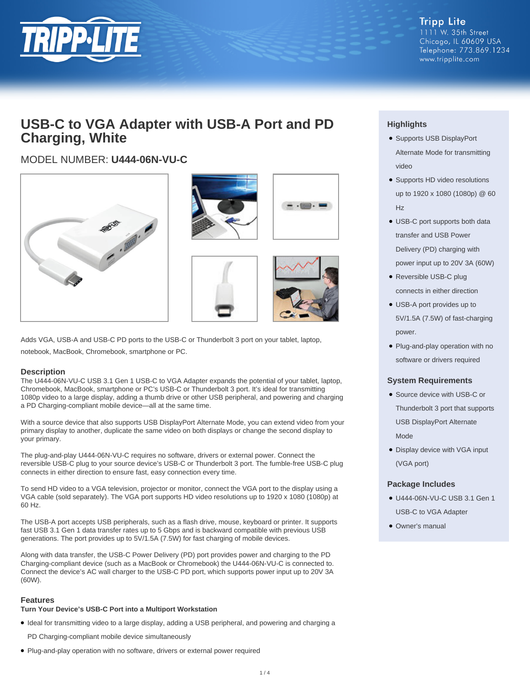

**Tripp Lite** 1111 W. 35th Street Chicago, IL 60609 USA Telephone: 773.869.1234 www.tripplite.com

## **USB-C to VGA Adapter with USB-A Port and PD Charging, White**

## MODEL NUMBER: **U444-06N-VU-C**









Adds VGA, USB-A and USB-C PD ports to the USB-C or Thunderbolt 3 port on your tablet, laptop, notebook, MacBook, Chromebook, smartphone or PC.

#### **Description**

The U444-06N-VU-C USB 3.1 Gen 1 USB-C to VGA Adapter expands the potential of your tablet, laptop, Chromebook, MacBook, smartphone or PC's USB-C or Thunderbolt 3 port. It's ideal for transmitting 1080p video to a large display, adding a thumb drive or other USB peripheral, and powering and charging a PD Charging-compliant mobile device—all at the same time.

With a source device that also supports USB DisplayPort Alternate Mode, you can extend video from your primary display to another, duplicate the same video on both displays or change the second display to your primary.

The plug-and-play U444-06N-VU-C requires no software, drivers or external power. Connect the reversible USB-C plug to your source device's USB-C or Thunderbolt 3 port. The fumble-free USB-C plug connects in either direction to ensure fast, easy connection every time.

To send HD video to a VGA television, projector or monitor, connect the VGA port to the display using a VGA cable (sold separately). The VGA port supports HD video resolutions up to 1920 x 1080 (1080p) at 60 Hz.

The USB-A port accepts USB peripherals, such as a flash drive, mouse, keyboard or printer. It supports fast USB 3.1 Gen 1 data transfer rates up to 5 Gbps and is backward compatible with previous USB generations. The port provides up to 5V/1.5A (7.5W) for fast charging of mobile devices.

Along with data transfer, the USB-C Power Delivery (PD) port provides power and charging to the PD Charging-compliant device (such as a MacBook or Chromebook) the U444-06N-VU-C is connected to. Connect the device's AC wall charger to the USB-C PD port, which supports power input up to 20V 3A (60W).

#### **Features**

#### **Turn Your Device's USB-C Port into a Multiport Workstation**

● Ideal for transmitting video to a large display, adding a USB peripheral, and powering and charging a

PD Charging-compliant mobile device simultaneously

● Plug-and-play operation with no software, drivers or external power required

### **Highlights**

- Supports USB DisplayPort Alternate Mode for transmitting video
- Supports HD video resolutions up to 1920 x 1080 (1080p) @ 60 Hz
- USB-C port supports both data transfer and USB Power Delivery (PD) charging with power input up to 20V 3A (60W)
- Reversible USB-C plug connects in either direction
- USB-A port provides up to 5V/1.5A (7.5W) of fast-charging power.
- Plug-and-play operation with no software or drivers required

#### **System Requirements**

- Source device with USB-C or Thunderbolt 3 port that supports USB DisplayPort Alternate Mode
- Display device with VGA input (VGA port)

#### **Package Includes**

- U444-06N-VU-C USB 3.1 Gen 1 USB-C to VGA Adapter
- Owner's manual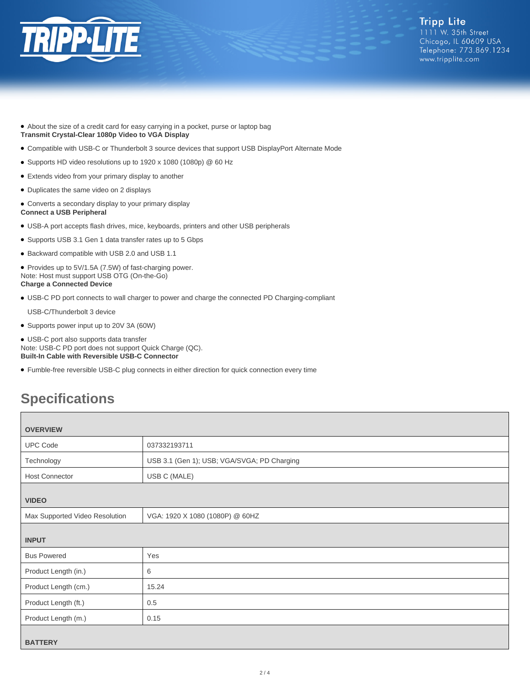

- About the size of a credit card for easy carrying in a pocket, purse or laptop bag **Transmit Crystal-Clear 1080p Video to VGA Display**
- Compatible with USB-C or Thunderbolt 3 source devices that support USB DisplayPort Alternate Mode
- Supports HD video resolutions up to 1920 x 1080 (1080p) @ 60 Hz
- Extends video from your primary display to another
- Duplicates the same video on 2 displays
- Converts a secondary display to your primary display **Connect a USB Peripheral**
- USB-A port accepts flash drives, mice, keyboards, printers and other USB peripherals
- Supports USB 3.1 Gen 1 data transfer rates up to 5 Gbps
- Backward compatible with USB 2.0 and USB 1.1
- Provides up to 5V/1.5A (7.5W) of fast-charging power. Note: Host must support USB OTG (On-the-Go) **Charge a Connected Device**
- USB-C PD port connects to wall charger to power and charge the connected PD Charging-compliant
- USB-C/Thunderbolt 3 device
- Supports power input up to 20V 3A (60W)

● USB-C port also supports data transfer Note: USB-C PD port does not support Quick Charge (QC). **Built-In Cable with Reversible USB-C Connector**

● Fumble-free reversible USB-C plug connects in either direction for quick connection every time

# **Specifications**

| <b>OVERVIEW</b>                |                                             |  |
|--------------------------------|---------------------------------------------|--|
| <b>UPC Code</b>                | 037332193711                                |  |
| Technology                     | USB 3.1 (Gen 1); USB; VGA/SVGA; PD Charging |  |
| <b>Host Connector</b>          | USB C (MALE)                                |  |
| <b>VIDEO</b>                   |                                             |  |
| Max Supported Video Resolution | VGA: 1920 X 1080 (1080P) @ 60HZ             |  |
| <b>INPUT</b>                   |                                             |  |
| <b>Bus Powered</b>             | Yes                                         |  |
| Product Length (in.)           | 6                                           |  |
| Product Length (cm.)           | 15.24                                       |  |
| Product Length (ft.)           | 0.5                                         |  |
| Product Length (m.)            | 0.15                                        |  |
| <b>BATTERY</b>                 |                                             |  |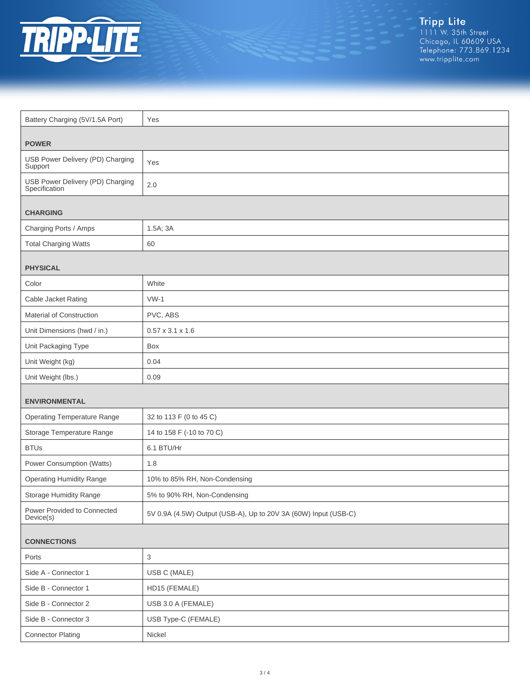

| Battery Charging (5V/1.5A Port)                   | Yes                                                             |  |
|---------------------------------------------------|-----------------------------------------------------------------|--|
|                                                   |                                                                 |  |
| <b>POWER</b>                                      |                                                                 |  |
| USB Power Delivery (PD) Charging<br>Support       | Yes                                                             |  |
| USB Power Delivery (PD) Charging<br>Specification | 2.0                                                             |  |
| <b>CHARGING</b>                                   |                                                                 |  |
| Charging Ports / Amps                             | 1.5A; 3A                                                        |  |
| <b>Total Charging Watts</b>                       | 60                                                              |  |
|                                                   |                                                                 |  |
| <b>PHYSICAL</b>                                   |                                                                 |  |
| Color                                             | White                                                           |  |
| Cable Jacket Rating                               | $VW-1$                                                          |  |
| Material of Construction                          | PVC, ABS                                                        |  |
| Unit Dimensions (hwd / in.)                       | $0.57 \times 3.1 \times 1.6$                                    |  |
| Unit Packaging Type                               | Box                                                             |  |
| Unit Weight (kg)                                  | 0.04                                                            |  |
| Unit Weight (lbs.)                                | 0.09                                                            |  |
| <b>ENVIRONMENTAL</b>                              |                                                                 |  |
| <b>Operating Temperature Range</b>                | 32 to 113 F (0 to 45 C)                                         |  |
| Storage Temperature Range                         | 14 to 158 F (-10 to 70 C)                                       |  |
| <b>BTUs</b>                                       | 6.1 BTU/Hr                                                      |  |
| Power Consumption (Watts)                         | 1.8                                                             |  |
| <b>Operating Humidity Range</b>                   | 10% to 85% RH, Non-Condensing                                   |  |
| Storage Humidity Range                            | 5% to 90% RH, Non-Condensing                                    |  |
| Power Provided to Connected<br>Device(s)          | 5V 0.9A (4.5W) Output (USB-A), Up to 20V 3A (60W) Input (USB-C) |  |
| <b>CONNECTIONS</b>                                |                                                                 |  |
| Ports                                             | $\ensuremath{\mathsf{3}}$                                       |  |
| Side A - Connector 1                              | USB C (MALE)                                                    |  |
| Side B - Connector 1                              | HD15 (FEMALE)                                                   |  |
| Side B - Connector 2                              | USB 3.0 A (FEMALE)                                              |  |
| Side B - Connector 3                              | USB Type-C (FEMALE)                                             |  |
| <b>Connector Plating</b>                          | Nickel                                                          |  |